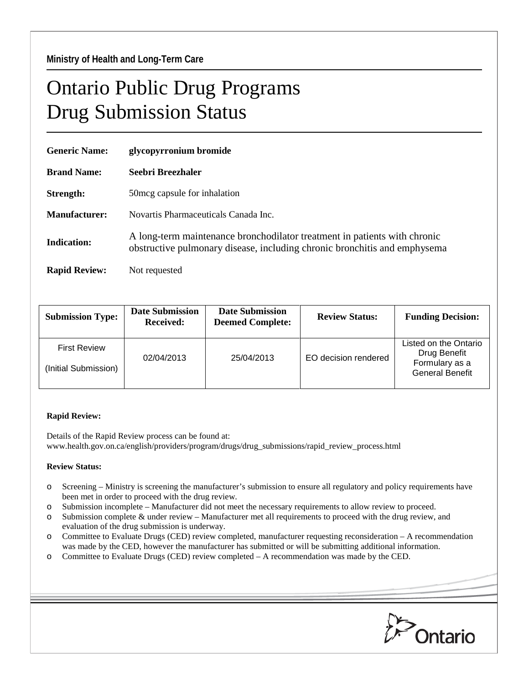## Ontario Public Drug Programs Drug Submission Status

| <b>Generic Name:</b> | glycopyrronium bromide                                                                                                                                 |  |  |
|----------------------|--------------------------------------------------------------------------------------------------------------------------------------------------------|--|--|
| <b>Brand Name:</b>   | Seebri Breezhaler                                                                                                                                      |  |  |
| Strength:            | 50 mcg capsule for inhalation                                                                                                                          |  |  |
| Manufacturer:        | Novartis Pharmaceuticals Canada Inc.                                                                                                                   |  |  |
| Indication:          | A long-term maintenance bronchodilator treatment in patients with chronic<br>obstructive pulmonary disease, including chronic bronchitis and emphysema |  |  |
| <b>Rapid Review:</b> | Not requested                                                                                                                                          |  |  |

| <b>Submission Type:</b>                     | <b>Date Submission</b><br><b>Received:</b> | <b>Date Submission</b><br><b>Deemed Complete:</b> | <b>Review Status:</b> | <b>Funding Decision:</b>                                                          |
|---------------------------------------------|--------------------------------------------|---------------------------------------------------|-----------------------|-----------------------------------------------------------------------------------|
| <b>First Review</b><br>(Initial Submission) | 02/04/2013                                 | 25/04/2013                                        | EO decision rendered  | Listed on the Ontario<br>Drug Benefit<br>Formulary as a<br><b>General Benefit</b> |

## **Rapid Review:**

Details of the Rapid Review process can be found at: www.health.gov.on.ca/english/providers/program/drugs/drug\_submissions/rapid\_review\_process.html

## **Review Status:**

- o Screening Ministry is screening the manufacturer's submission to ensure all regulatory and policy requirements have been met in order to proceed with the drug review.
- o Submission incomplete Manufacturer did not meet the necessary requirements to allow review to proceed.
- o Submission complete & under review Manufacturer met all requirements to proceed with the drug review, and evaluation of the drug submission is underway.
- o Committee to Evaluate Drugs (CED) review completed, manufacturer requesting reconsideration A recommendation was made by the CED, however the manufacturer has submitted or will be submitting additional information.
- o Committee to Evaluate Drugs (CED) review completed A recommendation was made by the CED.